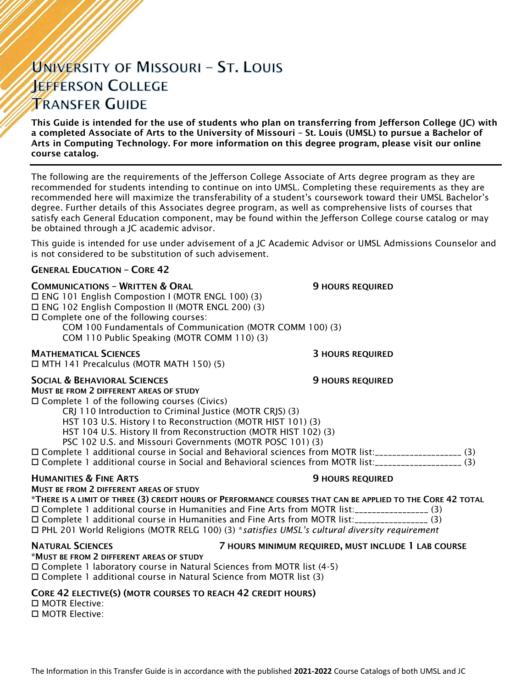# UNIVERSITY OF MISSOURI - ST. LOUIS **JEFFERSON COLLEGE TRANSFER GUIDE**

This Guide is intended for the use of students who plan on transferring from Jefferson College (JC) with a completed Associate of Arts to the University of Missouri – St. Louis (UMSL) to pursue a Bachelor of Arts in Computing Technology. For more information on this degree program, please visit our online course catalog.

The following are the requirements of the Jefferson College Associate of Arts degree program as they are recommended for students intending to continue on into UMSL. Completing these requirements as they are recommended here will maximize the transferability of a student's coursework toward their UMSL Bachelor's degree. Further details of this Associates degree program, as well as comprehensive lists of courses that satisfy each General Education component, may be found within the Jefferson College course catalog or may be obtained through a JC academic advisor.

This guide is intended for use under advisement of a JC Academic Advisor or UMSL Admissions Counselor and is not considered to be substitution of such advisement.

## GENERAL EDUCATION – CORE 42

### **COMMUNICATIONS - WRITTEN & ORAL 5 AU SERVICE SECULAR SECULAR SECULAR SERVICED**

 ENG 101 English Compostion I (MOTR ENGL 100) (3) ENG 102 English Compostion II (MOTR ENGL 200) (3) Complete one of the following courses: COM 100 Fundamentals of Communication (MOTR COMM 100) (3)

COM 110 Public Speaking (MOTR COMM 110) (3)

## **MATHEMATICAL SCIENCES 3 HOURS REQUIRED**

MTH 141 Precalculus (MOTR MATH 150) (5)

### SOCIAL & BEHAVIORAL SCIENCES **19 SOCIAL SERVICES** 9 HOURS REQUIRED

MUST BE FROM 2 DIFFERENT AREAS OF STUDY Complete 1 of the following courses (Civics)

CRJ 110 Introduction to Criminal Justice (MOTR CRJS) (3)

HST 103 U.S. History I to Reconstruction (MOTR HIST 101) (3)

- HST 104 U.S. History II from Reconstruction (MOTR HIST 102) (3)
- PSC 102 U.S. and Missouri Governments (MOTR POSC 101) (3)

 Complete 1 additional course in Social and Behavioral sciences from MOTR list:\_\_\_\_\_\_\_\_\_\_\_\_\_\_\_\_\_\_\_\_ (3) Complete 1 additional course in Social and Behavioral sciences from MOTR list:\_\_\_\_\_\_\_\_\_\_\_\_\_\_\_\_\_\_\_\_ (3)

### HUMANITIES & FINE ARTS 9 HOURS REQUIRED

MUST BE FROM 2 DIFFERENT AREAS OF STUDY

\*THERE IS A LIMIT OF THREE (3) CREDIT HOURS OF PERFORMANCE COURSES THAT CAN BE APPLIED TO THE CORE 42 TOTAL Complete 1 additional course in Humanities and Fine Arts from MOTR list:\_\_\_\_\_\_\_\_\_\_\_\_\_\_\_\_\_ (3) Complete 1 additional course in Humanities and Fine Arts from MOTR list:\_\_\_\_\_\_\_\_\_\_\_\_\_\_\_\_\_ (3) PHL 201 World Religions (MOTR RELG 100) (3) \**satisfies UMSL's cultural diversity requirement*

# \*MUST BE FROM 2 DIFFERENT AREAS OF STUDY

### NATURAL SCIENCES 7 HOURS MINIMUM REQUIRED, MUST INCLUDE 1 LAB COURSE

 Complete 1 laboratory course in Natural Sciences from MOTR list (4-5) Complete 1 additional course in Natural Science from MOTR list (3)

# CORE 42 ELECTIVE(S) (MOTR COURSES TO REACH 42 CREDIT HOURS)

 MOTR Elective: MOTR Elective: